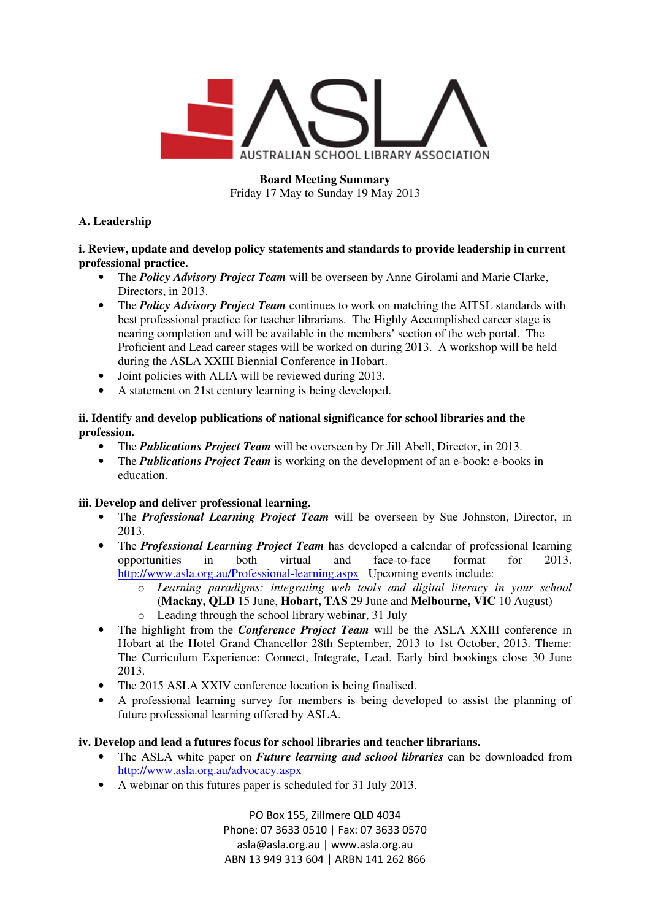

**Board Meeting Summary**  Friday 17 May to Sunday 19 May 2013

## **A. Leadership**

**i. Review, update and develop policy statements and standards to provide leadership in current professional practice.** 

- The *Policy Advisory Project Team* will be overseen by Anne Girolami and Marie Clarke, Directors, in 2013.
- The *Policy Advisory Project Team* continues to work on matching the AITSL standards with best professional practice for teacher librarians. The Highly Accomplished career stage is nearing completion and will be available in the members' section of the web portal. The Proficient and Lead career stages will be worked on during 2013. A workshop will be held during the ASLA XXIII Biennial Conference in Hobart.
- Joint policies with ALIA will be reviewed during 2013.
- A statement on 21st century learning is being developed.

#### **ii. Identify and develop publications of national significance for school libraries and the profession.**

- The *Publications Project Team* will be overseen by Dr Jill Abell, Director, in 2013.
- The *Publications Project Team* is working on the development of an e-book: e-books in education.

## **iii. Develop and deliver professional learning.**

- The *Professional Learning Project Team* will be overseen by Sue Johnston, Director, in 2013.
- The *Professional Learning Project Team* has developed a calendar of professional learning opportunities in both virtual and face-to-face format for 2013. http://www.asla.org.au/Professional-learning.aspx Upcoming events include:
	- o *Learning paradigms: integrating web tools and digital literacy in your school* (**Mackay, QLD** 15 June, **Hobart, TAS** 29 June and **Melbourne, VIC** 10 August)
	- o Leading through the school library webinar, 31 July
- The highlight from the *Conference Project Team* will be the ASLA XXIII conference in Hobart at the Hotel Grand Chancellor 28th September, 2013 to 1st October, 2013. Theme: The Curriculum Experience: Connect, Integrate, Lead. Early bird bookings close 30 June 2013.
- The 2015 ASLA XXIV conference location is being finalised.
- A professional learning survey for members is being developed to assist the planning of future professional learning offered by ASLA.

#### **iv. Develop and lead a futures focus for school libraries and teacher librarians.**

- The ASLA white paper on *Future learning and school libraries* can be downloaded from http://www.asla.org.au/advocacy.aspx
- A webinar on this futures paper is scheduled for 31 July 2013.

PO Box 155, Zillmere QLD 4034 Phone: 07 3633 0510 | Fax: 07 3633 0570 asla@asla.org.au | www.asla.org.au ABN 13 949 313 604 | ARBN 141 262 866